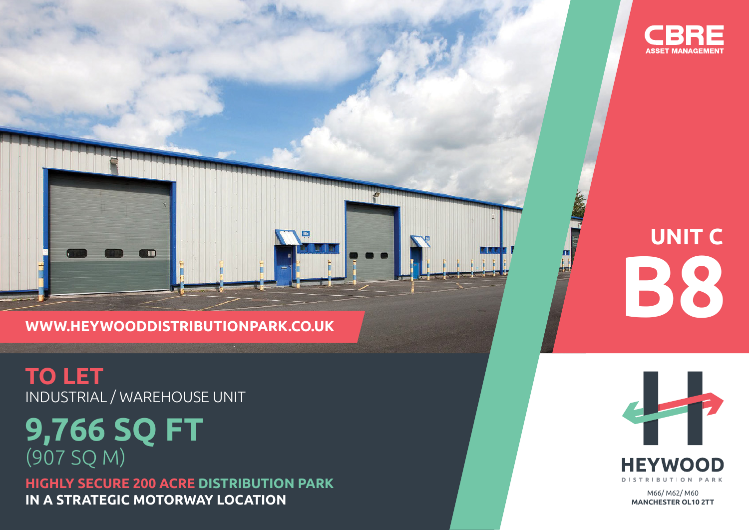

# **WWW.HEYWOODDISTRIBUTIONPARK.CO.UK**

**TO LET** INDUSTRIAL / WAREHOUSE UNIT

**IT IS** 

# **9,766 SQ FT** (907 SQ M)

**HIGHLY SECURE 200 ACRE DISTRIBUTION PARK IN A STRATEGIC MOTORWAY LOCATION** MANUSCRIPTION MANUSCRIPTION MANUSCRIPTION



Д



**MANCHESTER OL10 2TT**